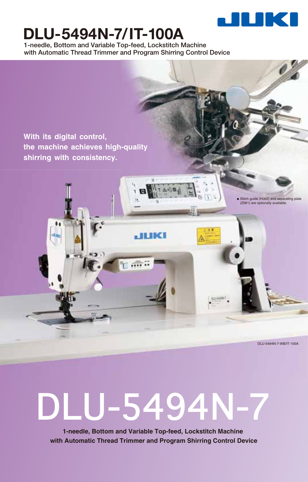

# **DLU-5494N-7/IT-100A**

**1-needle, Bottom and Variable Top-feed, Lockstitch Machine with Automatic Thread Trimmer and Program Shirring Control Device**

**With its digital control, the machine achieves high-quality shirring with consistency.**

ulaci

DLU-5494N-7-WB/IT-100A

• Stitch guide (H062) and separating plate (Z061) are optionally available.



**JEBKI** 

**1-needle, Bottom and Variable Top-feed, Lockstitch Machine with Automatic Thread Trimmer and Program Shirring Control Device**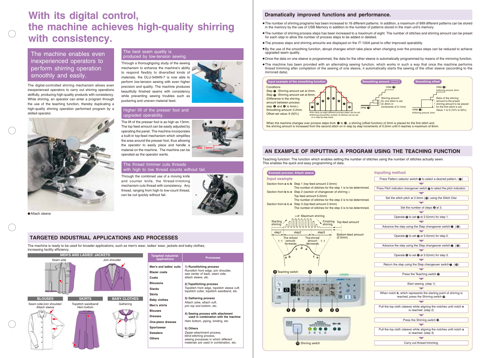## **With its digital control, the machine achieves high-quality shirring with consistency.**

| <b>Targeted industrial</b><br>applications | <b>Processes</b>                                                                                                                         |  |
|--------------------------------------------|------------------------------------------------------------------------------------------------------------------------------------------|--|
| Men's and ladies' suits                    | 1) Runstitching process                                                                                                                  |  |
| <b>Blazer coats</b>                        | Runstitch front edge, join shoulder,<br>sew center of back, seam side,<br>attach sleeve, etc.                                            |  |
| Coats                                      |                                                                                                                                          |  |
| <b>Blousons</b>                            | 2) Topstitching process                                                                                                                  |  |
| <b>Slacks</b>                              | Topstitch front edge, topstitch sleeve cuff,<br>topstitch collar, topstitch waistband, etc.                                              |  |
| <b>Skirts</b>                              |                                                                                                                                          |  |
| <b>Baby clothes</b>                        | 3) Gathering process                                                                                                                     |  |
| Men's shirts                               | Attach yoke, attach cuff,<br>join top and bottom, etc.                                                                                   |  |
| <b>Blouses</b>                             |                                                                                                                                          |  |
| <b>Dresses</b>                             | 4) Sewing process with attachment<br>used in combination with the machine                                                                |  |
| One-piece dresses                          | Hem bottom, piping, binding, etc.                                                                                                        |  |
| <b>Sportswear</b>                          | 5) Others                                                                                                                                |  |
| <b>Sweaters</b>                            | Zipper-attachment process,<br>blind-stitching process,<br>sewing processes in which different<br>materials are used in combination, etc. |  |
| Others                                     |                                                                                                                                          |  |

| Example process: Attach sleeve                                                       | Input |
|--------------------------------------------------------------------------------------|-------|
| <b>Input example</b>                                                                 | Pre   |
| Section from a to b Step 1 (top feed amount 2.5mm)                                   |       |
| The number of stitches for the step 1 is to be determined.                           | Press |
| Section from <b>b</b> to <b>e</b> Step 2 (section of changeover of shirring +        |       |
| Top feed amount 5.0mm)<br>The number of stitches for the step 2 is to be determined. |       |
| Section from e to a Step 3 (top-feed amount 2.5mm)                                   |       |
| The number of stitches for the step 3 is to be determined.                           |       |
|                                                                                      |       |
| Maximum shirring                                                                     |       |
| <b>Starting</b><br>Finishing Top-feed amount<br>shirring<br>shirring                 |       |
|                                                                                      | A     |
| step2<br>step1<br>step3<br>Bottom-feed amount                                        |       |
| (2.5mm)<br>The shirred<br>The shirred                                                |       |
| amount<br>amount / 1:1<br>1:1<br>increases.<br>decreases.                            | A     |
| d<br>è                                                                               |       |
|                                                                                      |       |
| a b                                                                                  |       |
|                                                                                      |       |
|                                                                                      |       |
| 6<br><b>9</b> Teaching switch                                                        |       |
| и                                                                                    |       |
| 4                                                                                    |       |
|                                                                                      |       |
|                                                                                      | Wł    |
| N                                                                                    |       |
|                                                                                      |       |
| 00<br>6 A<br>6<br>8)                                                                 | Pull  |
|                                                                                      |       |
|                                                                                      |       |
| m                                                                                    |       |
|                                                                                      | Pull  |
| D                                                                                    |       |
|                                                                                      |       |
| <sup>10</sup> Shirring switch                                                        |       |
|                                                                                      |       |
|                                                                                      |       |



| <b>Inputting method</b>                                                                                                   |  |  |  |
|---------------------------------------------------------------------------------------------------------------------------|--|--|--|
| Press Pattern selector switch @ to select a desired pattern. (@)                                                          |  |  |  |
|                                                                                                                           |  |  |  |
| Press Pitch indication changeover switch @ to select the pitch indication.                                                |  |  |  |
|                                                                                                                           |  |  |  |
| Set the stitch pitch at 2.5mm (@) using the Stitch Dial.                                                                  |  |  |  |
|                                                                                                                           |  |  |  |
| Set the number of steps <sup>o</sup> at 3.                                                                                |  |  |  |
|                                                                                                                           |  |  |  |
| Operate $\bullet$ to set $\bullet$ at 2.5(mm) for step 1.                                                                 |  |  |  |
|                                                                                                                           |  |  |  |
| Advance the step using the Step changeover switch $\odot$ . ( $\odot$ )                                                   |  |  |  |
|                                                                                                                           |  |  |  |
| Operate $\bullet$ to set $\bullet$ at 5.0(mm) for step 2.                                                                 |  |  |  |
|                                                                                                                           |  |  |  |
| Advance the step using the Step changeover switch $\odot$ . ( $\odot$ )                                                   |  |  |  |
|                                                                                                                           |  |  |  |
| Operate $\bullet$ to set $\bullet$ at 5.0(mm) for step 3.                                                                 |  |  |  |
|                                                                                                                           |  |  |  |
| Return the step using the Step changeover switch $\odot$ . ( $\odot$ )                                                    |  |  |  |
|                                                                                                                           |  |  |  |
| Press the Teaching switch <sup>.</sup>                                                                                    |  |  |  |
|                                                                                                                           |  |  |  |
| Start sewing. (step 1)                                                                                                    |  |  |  |
|                                                                                                                           |  |  |  |
| When notch <b>b</b> , which represents the starting point of shirring is<br>reached, press the Shirring switch <b>@</b> . |  |  |  |
|                                                                                                                           |  |  |  |
| Pull the top cloth (sleeve) while aligning the notches until notch e<br>is reached. (step 2)                              |  |  |  |
|                                                                                                                           |  |  |  |
| Press the Shirring switch <b>@</b> .                                                                                      |  |  |  |
|                                                                                                                           |  |  |  |
| Pull the top cloth (sleeve) while aligning the notches until notch a<br>is reached. (step 3)                              |  |  |  |
|                                                                                                                           |  |  |  |
| Carry out thread trimming.                                                                                                |  |  |  |



### The machine enables even **the matter of the best seam quality is** and the machine enables even produced by low-tension sewing. inexperienced operators to perform shirring operation smoothly and easily.

- The number of shirring programs has been increased to 16 different patterns. In addition, a maximum of 999 different patterns can be stored in the memory by the use of USB Memory in addition to the number of patterns stored in the main unit's memory.
- The number of shirring process steps has been increased to a maximum of eight. The number of stitches and shirring amount can be preset for each step to allow the number of process steps to be added or deleted.
- The process steps and shirring amounts are displayed on the IT-100A panel to offer improved operability.
- By the use of the smoothing function, abrupt changes which take place when changing over the process steps can be reduced to achieve upgraded seam quality.
- Once the data on one sleeve is programmed, the data for the other sleeve is automatically programmed by means of the mirroring function.
- The machine has been provided with an alternating sewing function, which works in such a way that once the machine performs thread trimming after completion of the sewing of one sleeve, it automatically starts the sewing of the other sleeve (according to the mirrored data).

#### **Dramatically improved functions and performance.**

#### **AN EXAMPLE OF INPUTTING A PROGRAM USING THE TEACHING FUNCTION**

### **TARGETED INDUSTRIAL APPLICATIONS AND PROCESSES**

Teaching function: The function which enables setting the number of stitches using the number of stitches actually sewn. This enables the quick and easy programming of data.

The machine is ready to be used for broader applications, such as men's wear, ladies' wear, jackets and baby clothes, increasing facility efficiency.

The digital-controlled shirring mechanism allows even inexperienced operators to carry out shirring operations skillfully, producing high-quality products with consistency. While shirring, an operator can enter a program through the use of the teaching function, thereby duplicating a high-quality shirring operation performed program by a skilled operator.

Through a thoroughgoing study of the sewing mechanism to enhance the machine's ability to respond flexibly to diversified kinds of materials, the DLU-5494N-7 is now able to perform low-tension sewing with even higher precision and quality. The machine produces beautifully finished seams with consistency while preventing sewing troubles such as puckering and uneven material feed.



## The best seam quality is

Through the combined use of a moving knife and counter knife, the thread-trimming mechanism cuts thread with consistency. Any thread, ranging from high-to low-count thread, can be cut quickly without fail.

#### The thread trimmer cuts threads with high to low thread counts without fail.

The lift of the presser foot is as high as 13mm. The top feed amount can be easily adjusted by operating the panel. The machine incorporates a built-in top-feed mechanism which simplifies the area around the presser foot, thus allowing the operator to easily place and handle a material on the machine. The machine can be operated as the operator wants.

#### Higher lift of the presser foot and upgraded operability.





Attach sleeve